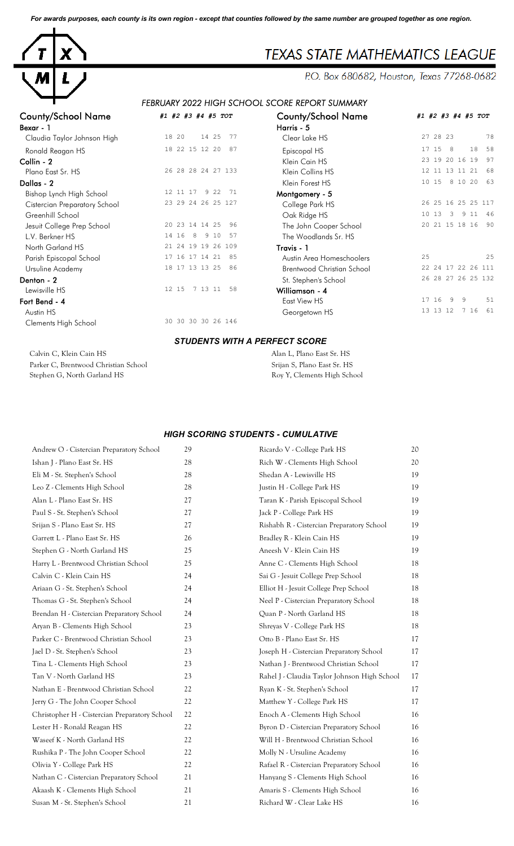*For awards purposes, each county is its own region - except that counties followed by the same number are grouped together as one region.*



# **TEXAS STATE MATHEMATICS LEAGUE**

P.O. Box 680682, Houston, Texas 77268-0682

## *FEBRUARY 2022 HIGH SCHOOL SCORE REPORT SUMMARY*

| <b>County/School Name</b>     | #1 #2 #3 #4 #5 TOT          | <b>County/School Name</b>         | #1             |
|-------------------------------|-----------------------------|-----------------------------------|----------------|
| Bexar - 1                     |                             | Harris - 5                        |                |
| Claudia Taylor Johnson High   | 18 20<br>14 25<br>77        | Clear Lake HS                     | $\overline{2}$ |
| Ronald Reagan HS              | 18 22 15 12 20<br>87        | Episcopal HS                      | 1              |
| Collin - 2                    |                             | Klein Cain HS                     | $\overline{c}$ |
| Plano East Sr. HS             | 26 28 28 24 27 133          | Klein Collins HS                  | $\mathbf{1}$   |
| Dallas - 2                    |                             | Klein Forest HS                   | $\mathbf{1}$   |
| Bishop Lynch High School      | 12 11 17<br>9 2 2<br>71     | Montgomery - 5                    |                |
| Cistercian Preparatory School | 23 29 24 26 25 127          | College Park HS                   | $\overline{c}$ |
| Greenhill School              |                             | Oak Ridge HS                      | $\mathbf{1}$   |
| Jesuit College Prep School    | 23 14 14 25<br>20<br>96     | The John Cooper School            | $\overline{c}$ |
| L.V. Berkner HS               | 16<br>9 10<br>8<br>14<br>57 | The Woodlands Sr. HS              |                |
| North Garland HS              | 21 24 19 19 26 109          | Travis - 1                        |                |
| Parish Episcopal School       | 16<br>17 14 21<br>17<br>85  | Austin Area Homeschoolers         | $\overline{2}$ |
| Ursuline Academy              | 18 17 13 13 25<br>86        | <b>Brentwood Christian School</b> | $\overline{c}$ |
| Denton - 2                    |                             | St. Stephen's School              | $\overline{c}$ |
| Lewisville HS                 | 7 13 11<br>12 15<br>58      | Williamson - 4                    |                |
| Fort Bend - 4                 |                             | East View HS                      | $\mathbf{1}$   |
| Austin HS                     |                             | Georgetown HS                     | $\mathbf 1$    |
| Clements High School          | 30 30 30 30 26 146          |                                   |                |

| <b>County/School Name</b>     | #1 #2 #3 #4 #5 TOT         | <b>County/School Name</b>  | #1 #2 #3 #4 #5 TOT           |
|-------------------------------|----------------------------|----------------------------|------------------------------|
| Bexar - 1                     |                            | Harris - 5                 |                              |
| Claudia Taylor Johnson High   | 18 20<br>14 25<br>-77      | Clear Lake HS              | 27 28 23<br>78               |
| Ronald Reagan HS              | 18 22 15 12 20<br>87       | Episcopal HS               | 58<br>8<br>18<br>15<br>17    |
| Collin - 2                    |                            | Klein Cain HS              | 23 19 20 16 19<br>97         |
| Plano East Sr. HS             | 26 28 28 24 27 133         | Klein Collins HS           | 12 11 13 11 21<br>68         |
| Dallas - 2                    |                            | Klein Forest HS            | 8 10 20<br>10 15<br>63       |
| Bishop Lynch High School      | 9 2 2<br>12 11 17<br>71    | Montgomery - 5             |                              |
| Cistercian Preparatory School | 23 29 24 26 25 127         | College Park HS            | 26 25 16 25 25 117           |
| Greenhill School              |                            | Oak Ridge HS               | 10 13<br>-3<br>9 1 1<br>- 46 |
| Jesuit College Prep School    | 20 23 14 14 25<br>96       | The John Cooper School     | 20 21 15 18 16<br>90         |
| L.V. Berkner HS               | 14 16<br>9 10<br>8<br>-57  | The Woodlands Sr. HS       |                              |
| North Garland HS              | 21 24 19 19 26 109         | Travis - 1                 |                              |
| Parish Episcopal School       | 17 14 21<br>16<br>85<br>17 | Austin Area Homeschoolers  | 25<br>25                     |
| Ursuline Academy              | 18 17 13 13 25<br>86       | Brentwood Christian School | 22 24 17 22 26 111           |
| Denton - 2                    |                            | St. Stephen's School       | 26 28 27 26 25 132           |
| Lewisville HS                 | 12 15<br>7 13 11<br>58     | Williamson - 4             |                              |
| Fort Bend - 4                 |                            | East View HS               | 51<br>17 16<br>9<br>9        |
| Austin HS                     |                            | Georgetown HS              | 7 16<br>13 13 12<br>61       |
|                               |                            |                            |                              |

#### *STUDENTS WITH A PERFECT SCORE*

Calvin C, Klein Cain HS Alan L, Plano East Sr. HS Parker C, Brentwood Christian School Srijan S, Plano East Sr. HS Stephen G, North Garland HS Roy Y, Clements High School

#### *HIGH SCORING STUDENTS - CUMULATIVE*

| Andrew O - Cistercian Preparatory School      | 29 | Ricardo V - College Park HS                  | 20 |
|-----------------------------------------------|----|----------------------------------------------|----|
| Ishan J - Plano East Sr. HS                   | 28 | Rich W - Clements High School                | 20 |
| Eli M - St. Stephen's School                  | 28 | Shedan A - Lewisville HS                     | 19 |
| Leo Z - Clements High School                  | 28 | Justin H - College Park HS                   | 19 |
| Alan L - Plano East Sr. HS                    | 27 | Taran K - Parish Episcopal School            | 19 |
| Paul S - St. Stephen's School                 | 27 | Jack P - College Park HS                     | 19 |
| Srijan S - Plano East Sr. HS                  | 27 | Rishabh R - Cistercian Preparatory School    | 19 |
| Garrett L - Plano East Sr. HS                 | 26 | Bradley R - Klein Cain HS                    | 19 |
| Stephen G - North Garland HS                  | 25 | Aneesh V - Klein Cain HS                     | 19 |
| Harry L - Brentwood Christian School          | 25 | Anne C - Clements High School                | 18 |
| Calvin C - Klein Cain HS                      | 24 | Sai G - Jesuit College Prep School           | 18 |
| Ariaan G - St. Stephen's School               | 24 | Elliot H - Jesuit College Prep School        | 18 |
| Thomas G - St. Stephen's School               | 24 | Neel P - Cistercian Preparatory School       | 18 |
| Brendan H - Cistercian Preparatory School     | 24 | Quan P - North Garland HS                    | 18 |
| Aryan B - Clements High School                | 23 | Shreyas V - College Park HS                  | 18 |
| Parker C - Brentwood Christian School         | 23 | Otto B - Plano East Sr. HS                   | 17 |
| Jael D - St. Stephen's School                 | 23 | Joseph H - Cistercian Preparatory School     | 17 |
| Tina L - Clements High School                 | 23 | Nathan J - Brentwood Christian School        | 17 |
| Tan V - North Garland HS                      | 23 | Rahel J - Claudia Taylor Johnson High School | 17 |
| Nathan E - Brentwood Christian School         | 22 | Ryan K - St. Stephen's School                | 17 |
| Jerry G - The John Cooper School              | 22 | Matthew Y - College Park HS                  | 17 |
| Christopher H - Cistercian Preparatory School | 22 | Enoch A - Clements High School               | 16 |
| Lester H - Ronald Reagan HS                   | 22 | Byron D - Cistercian Preparatory School      | 16 |
| Waseef K - North Garland HS                   | 22 | Will H - Brentwood Christian School          | 16 |
| Rushika P - The John Cooper School            | 22 | Molly N - Ursuline Academy                   | 16 |
| Olivia Y - College Park HS                    | 22 | Rafael R - Cistercian Preparatory School     | 16 |
| Nathan C - Cistercian Preparatory School      | 21 | Hanyang S - Clements High School             | 16 |
| Akaash K - Clements High School               | 21 | Amaris S - Clements High School              | 16 |
| Susan M - St. Stephen's School                | 21 | Richard W - Clear Lake HS                    | 16 |